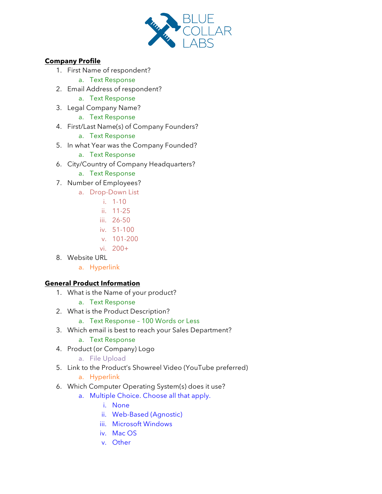

## **Company Profile**

- 1. First Name of respondent?
	- a. Text Response
- 2. Email Address of respondent?
	- a. Text Response
- 3. Legal Company Name?
	- a. Text Response
- 4. First/Last Name(s) of Company Founders?
	- a. Text Response
- 5. In what Year was the Company Founded?
	- a. Text Response
- 6. City/Country of Company Headquarters?
	- a. Text Response
- 7. Number of Employees?
	- a. Drop-Down List
		- i. 1-10
		- ii. 11-25
		- iii. 26-50
		- iv. 51-100
		- v. 101-200
		- vi. 200+
- 8. Website URL
	- a. Hyperlink

## **General Product Information**

- 1. What is the Name of your product?
	- a. Text Response
- 2. What is the Product Description?
	- a. Text Response 100 Words or Less
- 3. Which email is best to reach your Sales Department?
	- a. Text Response
- 4. Product (or Company) Logo
	- a. File Upload
- 5. Link to the Product's Showreel Video (YouTube preferred)
	- a. Hyperlink
- 6. Which Computer Operating System(s) does it use?
	- a. Multiple Choice. Choose all that apply.
		- i. None
		- ii. Web-Based (Agnostic)
		- iii. Microsoft Windows
		- iv. Mac OS
		- v. Other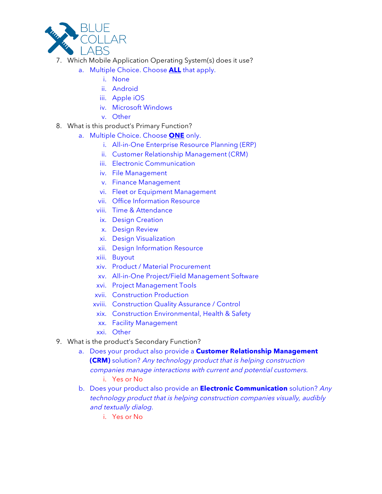

- 7. Which Mobile Application Operating System(s) does it use?
	- a. Multiple Choice. Choose **ALL** that apply.
		- i. None
		- ii. Android
		- iii. Apple iOS
		- iv. Microsoft Windows
		- v. Other
- 8. What is this product's Primary Function?
	- a. Multiple Choice. Choose **ONE** only.
		- i. All-in-One Enterprise Resource Planning (ERP)
		- ii. Customer Relationship Management (CRM)
		- iii. Electronic Communication
		- iv. File Management
		- v. Finance Management
		- vi. Fleet or Equipment Management
		- vii. Office Information Resource
		- viii. Time & Attendance
		- ix. Design Creation
		- x. Design Review
		- xi. Design Visualization
		- xii. Design Information Resource
		- xiii. Buyout
		- xiv. Product / Material Procurement
		- xv. All-in-One Project/Field Management Software
		- xvi. Project Management Tools
		- xvii. Construction Production
		- xviii. Construction Quality Assurance / Control
		- xix. Construction Environmental, Health & Safety
		- xx. Facility Management
		- xxi. Other
- 9. What is the product's Secondary Function?
	- a. Does your product also provide a **Customer Relationship Management (CRM)** solution? Any technology product that is helping construction companies manage interactions with current and potential customers. i. Yes or No
	- b. Does your product also provide an **Electronic Communication** solution? Any technology product that is helping construction companies visually, audibly and textually dialog.
		- i. Yes or No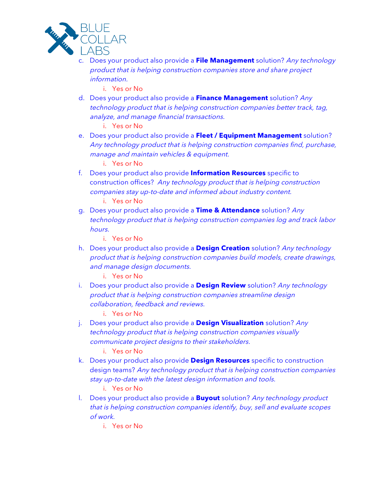

- c. Does your product also provide a **File Management** solution? Any technology product that is helping construction companies store and share project information.
	- i. Yes or No
- d. Does your product also provide a **Finance Management** solution? Any technology product that is helping construction companies better track, tag, analyze, and manage financial transactions.

i. Yes or No

e. Does your product also provide a **Fleet / Equipment Management** solution? Any technology product that is helping construction companies find, purchase, manage and maintain vehicles & equipment.

i. Yes or No

f. Does your product also provide **Information Resources** specific to construction offices? Any technology product that is helping construction companies stay up-to-date and informed about industry content.

i. Yes or No

g. Does your product also provide a **Time & Attendance** solution? Any technology product that is helping construction companies log and track labor hours.

i. Yes or No

h. Does your product also provide a **Design Creation** solution? Any technology product that is helping construction companies build models, create drawings, and manage design documents.

i. Yes or No

i. Does your product also provide a **Design Review** solution? Any technology product that is helping construction companies streamline design collaboration, feedback and reviews.

i. Yes or No

j. Does your product also provide a **Design Visualization** solution? Any technology product that is helping construction companies visually communicate project designs to their stakeholders.

i. Yes or No

k. Does your product also provide **Design Resources** specific to construction design teams? Any technology product that is helping construction companies stay up-to-date with the latest design information and tools.

i. Yes or No

- l. Does your product also provide a **Buyout** solution? Any technology product that is helping construction companies identify, buy, sell and evaluate scopes of work.
	- i. Yes or No